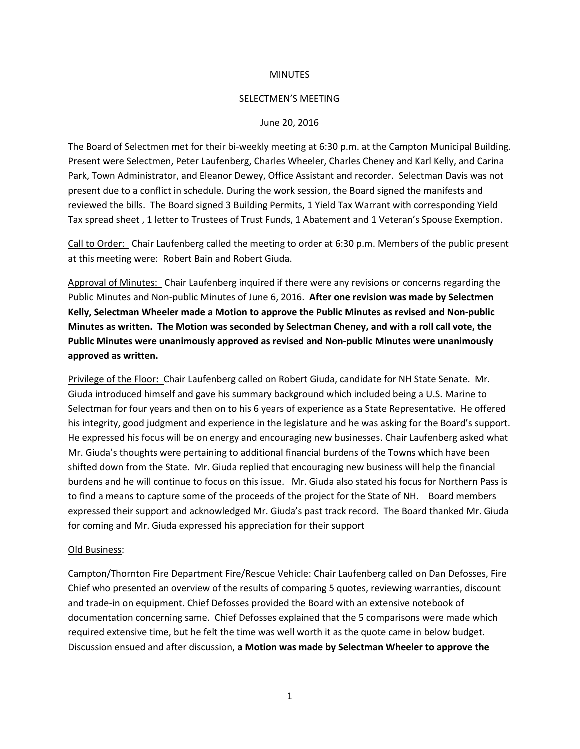### **MINUTES**

#### SELECTMEN'S MEETING

#### June 20, 2016

The Board of Selectmen met for their bi-weekly meeting at 6:30 p.m. at the Campton Municipal Building. Present were Selectmen, Peter Laufenberg, Charles Wheeler, Charles Cheney and Karl Kelly, and Carina Park, Town Administrator, and Eleanor Dewey, Office Assistant and recorder. Selectman Davis was not present due to a conflict in schedule. During the work session, the Board signed the manifests and reviewed the bills. The Board signed 3 Building Permits, 1 Yield Tax Warrant with corresponding Yield Tax spread sheet , 1 letter to Trustees of Trust Funds, 1 Abatement and 1 Veteran's Spouse Exemption.

Call to Order: Chair Laufenberg called the meeting to order at 6:30 p.m. Members of the public present at this meeting were: Robert Bain and Robert Giuda.

Approval of Minutes: Chair Laufenberg inquired if there were any revisions or concerns regarding the Public Minutes and Non-public Minutes of June 6, 2016. **After one revision was made by Selectmen Kelly, Selectman Wheeler made a Motion to approve the Public Minutes as revised and Non-public Minutes as written. The Motion was seconded by Selectman Cheney, and with a roll call vote, the Public Minutes were unanimously approved as revised and Non-public Minutes were unanimously approved as written.** 

Privilege of the Floor**:** Chair Laufenberg called on Robert Giuda, candidate for NH State Senate. Mr. Giuda introduced himself and gave his summary background which included being a U.S. Marine to Selectman for four years and then on to his 6 years of experience as a State Representative. He offered his integrity, good judgment and experience in the legislature and he was asking for the Board's support. He expressed his focus will be on energy and encouraging new businesses. Chair Laufenberg asked what Mr. Giuda's thoughts were pertaining to additional financial burdens of the Towns which have been shifted down from the State. Mr. Giuda replied that encouraging new business will help the financial burdens and he will continue to focus on this issue. Mr. Giuda also stated his focus for Northern Pass is to find a means to capture some of the proceeds of the project for the State of NH. Board members expressed their support and acknowledged Mr. Giuda's past track record. The Board thanked Mr. Giuda for coming and Mr. Giuda expressed his appreciation for their support

## Old Business:

Campton/Thornton Fire Department Fire/Rescue Vehicle: Chair Laufenberg called on Dan Defosses, Fire Chief who presented an overview of the results of comparing 5 quotes, reviewing warranties, discount and trade-in on equipment. Chief Defosses provided the Board with an extensive notebook of documentation concerning same. Chief Defosses explained that the 5 comparisons were made which required extensive time, but he felt the time was well worth it as the quote came in below budget. Discussion ensued and after discussion, **a Motion was made by Selectman Wheeler to approve the**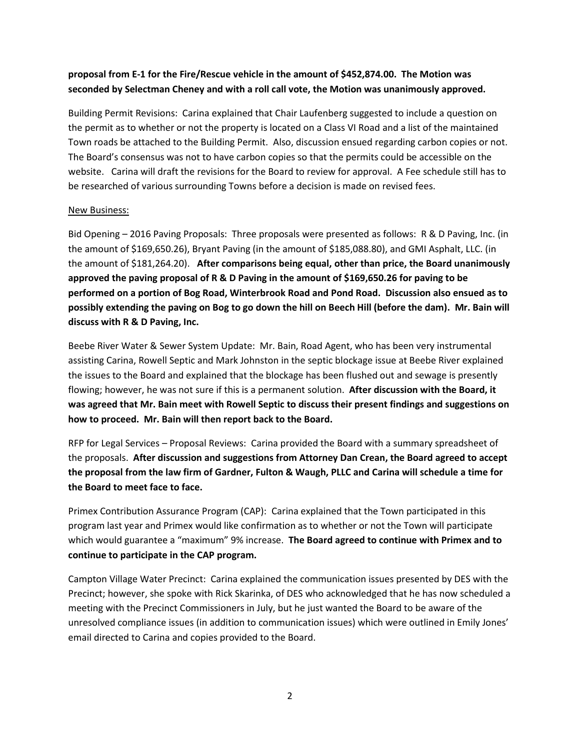# **proposal from E-1 for the Fire/Rescue vehicle in the amount of \$452,874.00. The Motion was seconded by Selectman Cheney and with a roll call vote, the Motion was unanimously approved.**

Building Permit Revisions: Carina explained that Chair Laufenberg suggested to include a question on the permit as to whether or not the property is located on a Class VI Road and a list of the maintained Town roads be attached to the Building Permit. Also, discussion ensued regarding carbon copies or not. The Board's consensus was not to have carbon copies so that the permits could be accessible on the website. Carina will draft the revisions for the Board to review for approval. A Fee schedule still has to be researched of various surrounding Towns before a decision is made on revised fees.

## New Business:

Bid Opening – 2016 Paving Proposals: Three proposals were presented as follows: R & D Paving, Inc. (in the amount of \$169,650.26), Bryant Paving (in the amount of \$185,088.80), and GMI Asphalt, LLC. (in the amount of \$181,264.20). **After comparisons being equal, other than price, the Board unanimously approved the paving proposal of R & D Paving in the amount of \$169,650.26 for paving to be performed on a portion of Bog Road, Winterbrook Road and Pond Road. Discussion also ensued as to possibly extending the paving on Bog to go down the hill on Beech Hill (before the dam). Mr. Bain will discuss with R & D Paving, Inc.** 

Beebe River Water & Sewer System Update: Mr. Bain, Road Agent, who has been very instrumental assisting Carina, Rowell Septic and Mark Johnston in the septic blockage issue at Beebe River explained the issues to the Board and explained that the blockage has been flushed out and sewage is presently flowing; however, he was not sure if this is a permanent solution. **After discussion with the Board, it was agreed that Mr. Bain meet with Rowell Septic to discuss their present findings and suggestions on how to proceed. Mr. Bain will then report back to the Board.**

RFP for Legal Services – Proposal Reviews: Carina provided the Board with a summary spreadsheet of the proposals. **After discussion and suggestions from Attorney Dan Crean, the Board agreed to accept the proposal from the law firm of Gardner, Fulton & Waugh, PLLC and Carina will schedule a time for the Board to meet face to face.**

Primex Contribution Assurance Program (CAP): Carina explained that the Town participated in this program last year and Primex would like confirmation as to whether or not the Town will participate which would guarantee a "maximum" 9% increase. **The Board agreed to continue with Primex and to continue to participate in the CAP program.** 

Campton Village Water Precinct: Carina explained the communication issues presented by DES with the Precinct; however, she spoke with Rick Skarinka, of DES who acknowledged that he has now scheduled a meeting with the Precinct Commissioners in July, but he just wanted the Board to be aware of the unresolved compliance issues (in addition to communication issues) which were outlined in Emily Jones' email directed to Carina and copies provided to the Board.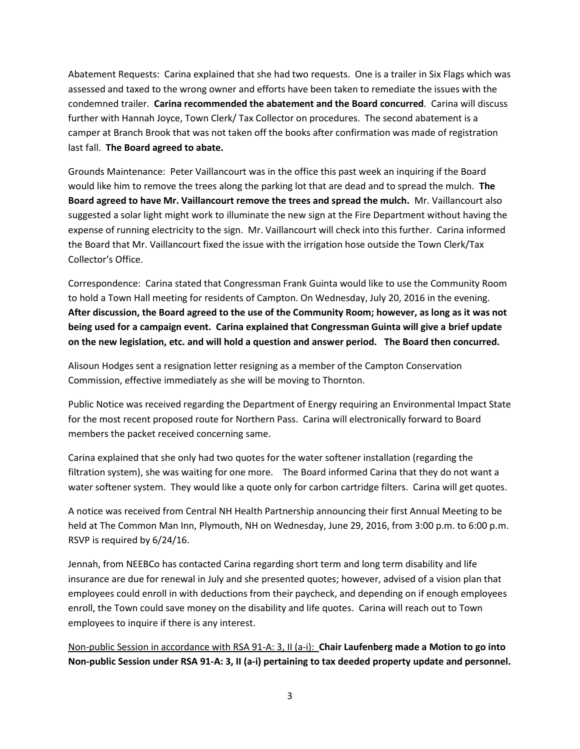Abatement Requests: Carina explained that she had two requests. One is a trailer in Six Flags which was assessed and taxed to the wrong owner and efforts have been taken to remediate the issues with the condemned trailer. **Carina recommended the abatement and the Board concurred**. Carina will discuss further with Hannah Joyce, Town Clerk/ Tax Collector on procedures. The second abatement is a camper at Branch Brook that was not taken off the books after confirmation was made of registration last fall. **The Board agreed to abate.**

Grounds Maintenance: Peter Vaillancourt was in the office this past week an inquiring if the Board would like him to remove the trees along the parking lot that are dead and to spread the mulch. **The Board agreed to have Mr. Vaillancourt remove the trees and spread the mulch.** Mr. Vaillancourt also suggested a solar light might work to illuminate the new sign at the Fire Department without having the expense of running electricity to the sign. Mr. Vaillancourt will check into this further. Carina informed the Board that Mr. Vaillancourt fixed the issue with the irrigation hose outside the Town Clerk/Tax Collector's Office.

Correspondence: Carina stated that Congressman Frank Guinta would like to use the Community Room to hold a Town Hall meeting for residents of Campton. On Wednesday, July 20, 2016 in the evening. **After discussion, the Board agreed to the use of the Community Room; however, as long as it was not being used for a campaign event. Carina explained that Congressman Guinta will give a brief update on the new legislation, etc. and will hold a question and answer period. The Board then concurred.**

Alisoun Hodges sent a resignation letter resigning as a member of the Campton Conservation Commission, effective immediately as she will be moving to Thornton.

Public Notice was received regarding the Department of Energy requiring an Environmental Impact State for the most recent proposed route for Northern Pass. Carina will electronically forward to Board members the packet received concerning same.

Carina explained that she only had two quotes for the water softener installation (regarding the filtration system), she was waiting for one more. The Board informed Carina that they do not want a water softener system. They would like a quote only for carbon cartridge filters. Carina will get quotes.

A notice was received from Central NH Health Partnership announcing their first Annual Meeting to be held at The Common Man Inn, Plymouth, NH on Wednesday, June 29, 2016, from 3:00 p.m. to 6:00 p.m. RSVP is required by 6/24/16.

Jennah, from NEEBCo has contacted Carina regarding short term and long term disability and life insurance are due for renewal in July and she presented quotes; however, advised of a vision plan that employees could enroll in with deductions from their paycheck, and depending on if enough employees enroll, the Town could save money on the disability and life quotes. Carina will reach out to Town employees to inquire if there is any interest.

Non-public Session in accordance with RSA 91-A: 3, II (a-i): **Chair Laufenberg made a Motion to go into Non-public Session under RSA 91-A: 3, II (a-i) pertaining to tax deeded property update and personnel.**